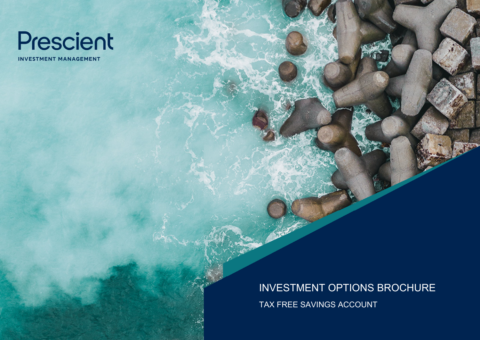

**INVESTMENT MANAGEMENT** 

INVESTMENT OPTIONS BROCHURE TAX FREE SAVINGS ACCOUNT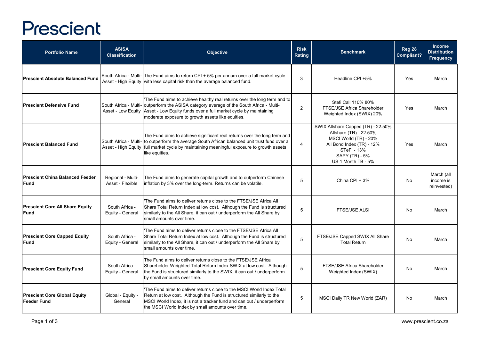## Prescient

| <b>Portfolio Name</b>                                 | <b>ASISA</b><br><b>Classification</b> | Objective                                                                                                                                                                                                                                                                                                       | <b>Risk</b><br>Rating | <b>Benchmark</b>                                                                                                                                                          | <b>Reg 28</b><br>Compliant? | <b>Income</b><br><b>Distribution</b><br><b>Frequency</b> |
|-------------------------------------------------------|---------------------------------------|-----------------------------------------------------------------------------------------------------------------------------------------------------------------------------------------------------------------------------------------------------------------------------------------------------------------|-----------------------|---------------------------------------------------------------------------------------------------------------------------------------------------------------------------|-----------------------------|----------------------------------------------------------|
| <b>Prescient Absolute Balanced Fund</b>               |                                       | South Africa - Multi- The Fund aims to return CPI + 5% per annum over a full market cycle<br>Asset - High Equity with less capital risk than the average balanced fund.                                                                                                                                         | 3                     | Headline CPI +5%                                                                                                                                                          | Yes                         | March                                                    |
| lPrescient Defensive Fund                             |                                       | The Fund aims to achieve healthy real returns over the long term and to<br>South Africa - Multi- outperform the ASISA category average of the South Africa - Multi-<br>Asset - Low Equity Asset - Low Equity funds over a full market cycle by maintaining<br>moderate exposure to growth assets like equities. | $\overline{2}$        | Stefi Call 110% 80%<br>FTSE/JSE Africa Shareholder<br>Weighted Index (SWIX) 20%                                                                                           | Yes                         | March                                                    |
| <b>Prescient Balanced Fund</b>                        |                                       | The Fund aims to achieve significant real returns over the long term and<br>South Africa - Multi- to outperform the average South African balanced unit trust fund over a<br>Asset - High Equity full market cycle by maintaining meaningful exposure to growth assets<br>like equities.                        | $\overline{4}$        | SWIX Allshare Capped (TR) - 22.50%<br>Allshare (TR) - 22.50%<br>MSCI World (TR) - 20%<br>All Bond Index (TR) - 12%<br>STeFi - 13%<br>SAPY (TR) - 5%<br>US 1 Month TB - 5% | Yes                         | March                                                    |
| <b>Prescient China Balanced Feeder</b><br><b>Fund</b> | Regional - Multi-<br>Asset - Flexible | The Fund aims to generate capital growth and to outperform Chinese<br>inflation by 3% over the long-term. Returns can be volatile.                                                                                                                                                                              | 5                     | China CPI + $3%$                                                                                                                                                          | No                          | March (all<br>income is<br>reinvested)                   |
| <b>Prescient Core All Share Equity</b><br><b>Fund</b> | South Africa -<br>Equity - General    | The Fund aims to deliver returns close to the FTSE/JSE Africa All<br>Share Total Return Index at low cost. Although the Fund is structured<br>similarly to the All Share, it can out / underperform the All Share by<br>small amounts over time.                                                                | 5                     | <b>FTSE/JSE ALSI</b>                                                                                                                                                      | No                          | March                                                    |
| <b>Prescient Core Capped Equity</b><br>Fund           | South Africa -<br>Equity - General    | The Fund aims to deliver returns close to the FTSE/JSE Africa All<br>Share Total Return Index at low cost. Although the Fund is structured<br>similarly to the All Share, it can out / underperform the All Share by<br>small amounts over time.                                                                | 5                     | FTSE/JSE Capped SWIX All Share<br><b>Total Return</b>                                                                                                                     | No                          | March                                                    |
| <b>Prescient Core Equity Fund</b>                     | South Africa -<br>Equity - General    | The Fund aims to deliver returns close to the FTSE/JSE Africa<br>Shareholder Weighted Total Return Index SWIX at low cost. Although<br>the Fund is structured similarly to the SWIX, it can out / underperform<br>by small amounts over time.                                                                   | 5                     | <b>FTSE/JSE Africa Shareholder</b><br>Weighted Index (SWIX)                                                                                                               | No                          | March                                                    |
| <b>Prescient Core Global Equity</b><br>Feeder Fund    | Global - Equity -<br>General          | 'The Fund aims to deliver returns close to the MSCI World Index Total<br>Return at low cost. Although the Fund is structured similarly to the<br>MSCI World Index, it is not a tracker fund and can out / underperform<br>the MSCI World Index by small amounts over time.                                      | 5                     | MSCI Daily TR New World (ZAR)                                                                                                                                             | No                          | March                                                    |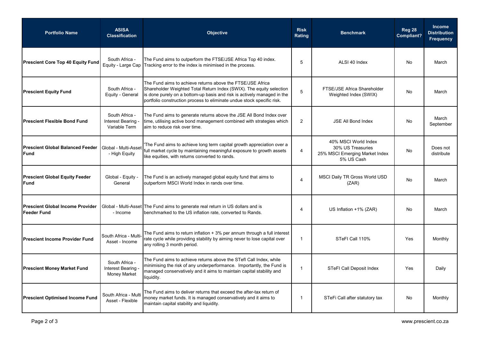| <b>Portfolio Name</b>                                         | <b>ASISA</b><br><b>Classification</b>                     | Objective                                                                                                                                                                                                                                                                               | <b>Risk</b><br>Rating | <b>Benchmark</b>                                                                          | <b>Reg 28</b><br>Compliant? | <b>Income</b><br><b>Distribution</b><br><b>Frequency</b> |
|---------------------------------------------------------------|-----------------------------------------------------------|-----------------------------------------------------------------------------------------------------------------------------------------------------------------------------------------------------------------------------------------------------------------------------------------|-----------------------|-------------------------------------------------------------------------------------------|-----------------------------|----------------------------------------------------------|
| <b>Prescient Core Top 40 Equity Fund</b>                      | South Africa -<br>Equity - Large Cap                      | The Fund aims to outperform the FTSE/JSE Africa Top 40 index.<br>Tracking error to the index is minimised in the process.                                                                                                                                                               | 5                     | ALSI 40 Index                                                                             | No                          | March                                                    |
| <b>Prescient Equity Fund</b>                                  | South Africa -<br>Equity - General                        | The Fund aims to achieve returns above the FTSE/JSE Africa<br>Shareholder Weighted Total Return Index (SWIX). The equity selection<br>is done purely on a bottom-up basis and risk is actively managed in the<br>portfolio construction process to eliminate undue stock specific risk. | 5                     | FTSE/JSE Africa Shareholder<br>Weighted Index (SWIX)                                      | <b>No</b>                   | March                                                    |
| <b>Prescient Flexible Bond Fund</b>                           | South Africa -<br>Interest Bearing<br>Variable Term       | The Fund aims to generate returns above the JSE All Bond Index over<br>time, utilising active bond management combined with strategies which<br>aim to reduce risk over time.                                                                                                           | $\overline{2}$        | <b>JSE All Bond Index</b>                                                                 | No                          | March<br>September                                       |
| <b>Prescient Global Balanced Feeder</b><br>Fund               | Global - Multi-Asset<br>- High Equity                     | The Fund aims to achieve long term capital growth appreciation over a<br>full market cycle by maintaining meaningful exposure to growth assets<br>like equities, with returns converted to rands.                                                                                       | $\overline{4}$        | 40% MSCI World Index<br>30% US Treasuries<br>25% MSCI Emerging Market Index<br>5% US Cash | No                          | Does not<br>distribute                                   |
| <b>Prescient Global Equity Feeder</b><br><b>Fund</b>          | Global - Equity -<br>General                              | The Fund is an actively managed global equity fund that aims to<br>outperform MSCI World Index in rands over time.                                                                                                                                                                      | 4                     | MSCI Daily TR Gross World USD<br>(ZAR)                                                    | No                          | March                                                    |
| <b>Prescient Global Income Provider</b><br><b>Feeder Fund</b> | - Income                                                  | Global - Multi-Asset The Fund aims to generate real return in US dollars and is<br>benchmarked to the US inflation rate, converted to Rands.                                                                                                                                            | 4                     | US Inflation +1% (ZAR)                                                                    | No                          | March                                                    |
| <b>Prescient Income Provider Fund</b>                         | South Africa - Multi<br>Asset - Income                    | The Fund aims to return inflation + 3% per annum through a full interest<br>rate cycle while providing stability by aiming never to lose capital over<br>any rolling 3 month period.                                                                                                    | $\mathbf{1}$          | STeFI Call 110%                                                                           | Yes                         | Monthly                                                  |
| <b>Prescient Money Market Fund</b>                            | South Africa -<br>Interest Bearing<br><b>Money Market</b> | The Fund aims to achieve returns above the STefl Call Index, while<br>minimising the risk of any underperformance. Importantly, the Fund is<br>managed conservatively and it aims to maintain capital stability and<br>liquidity.                                                       | $\mathbf{1}$          | STeFI Call Deposit Index                                                                  | Yes                         | Daily                                                    |
| <b>Prescient Optimised Income Fund</b>                        | South Africa - Mult<br>Asset - Flexible                   | The Fund aims to deliver returns that exceed the after-tax return of<br>money market funds. It is managed conservatively and it aims to<br>maintain capital stability and liquidity.                                                                                                    | $\mathbf{1}$          | STeFi Call after statutory tax                                                            | No                          | Monthly                                                  |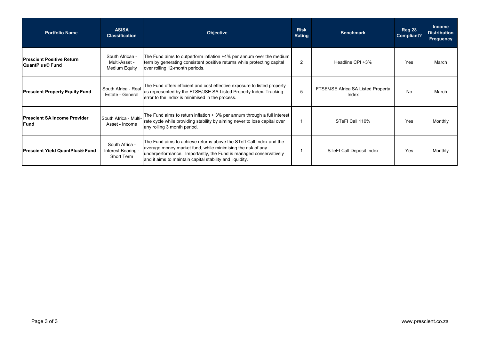| <b>Portfolio Name</b>                                | <b>ASISA</b><br><b>Classification</b>              | <b>Objective</b>                                                                                                                                                                                                                                                    | <b>Risk</b><br>Rating | <b>Benchmark</b>                            | <b>Reg 28</b><br>Compliant? | <b>Income</b><br><b>Distribution</b><br><b>Frequency</b> |
|------------------------------------------------------|----------------------------------------------------|---------------------------------------------------------------------------------------------------------------------------------------------------------------------------------------------------------------------------------------------------------------------|-----------------------|---------------------------------------------|-----------------------------|----------------------------------------------------------|
| lPrescient Positive Return<br><b>QuantPlus® Fund</b> | South African -<br>Multi-Asset -<br>Medium Equity  | The Fund aims to outperform inflation +4% per annum over the medium<br>term by generating consistent positive returns while protecting capital<br>over rolling 12-month periods.                                                                                    | $\overline{2}$        | Headline CPI +3%                            | Yes                         | March                                                    |
| <b>Prescient Property Equity Fund</b>                | South Africa - Real<br>Estate - General            | The Fund offers efficient and cost effective exposure to listed property<br>as represented by the FTSE/JSE SA Listed Property Index. Tracking<br>error to the index is minimised in the process.                                                                    | 5                     | FTSE/JSE Africa SA Listed Property<br>Index | <b>No</b>                   | March                                                    |
| <b>Prescient SA Income Provider</b><br>Fund          | South Africa - Multi-<br>Asset - Income            | The Fund aims to return inflation + 3% per annum through a full interest<br>rate cycle while providing stability by aiming never to lose capital over<br>any rolling 3 month period.                                                                                |                       | STeFI Call 110%                             | Yes                         | Monthly                                                  |
| <b>Prescient Yield QuantPlus® Fund</b>               | South Africa -<br>Interest Bearing -<br>Short Term | The Fund aims to achieve returns above the STefl Call Index and the<br>average money market fund, while minimising the risk of any<br>underperformance. Importantly, the Fund is managed conservatively<br>and it aims to maintain capital stability and liquidity. |                       | STeFI Call Deposit Index                    | Yes                         | Monthly                                                  |